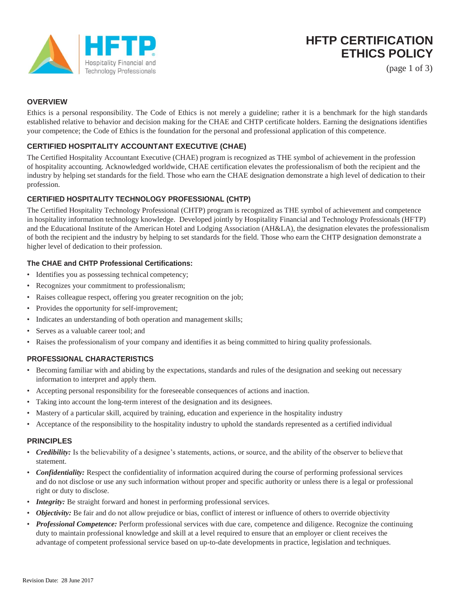

# **HFTP CERTIFICATION ETHICS POLICY**

(page 1 of 3)

# **OVERVIEW**

Ethics is a personal responsibility. The Code of Ethics is not merely a guideline; rather it is a benchmark for the high standards established relative to behavior and decision making for the CHAE and CHTP certificate holders. Earning the designations identifies your competence; the Code of Ethics is the foundation for the personal and professional application of this competence.

# **CERTIFIED HOSPITALITY ACCOUNTANT EXECUTIVE (CHAE)**

The Certified Hospitality Accountant Executive (CHAE) program is recognized as THE symbol of achievement in the profession of hospitality accounting. Acknowledged worldwide, CHAE certification elevates the professionalism of both the recipient and the industry by helping set standards for the field. Those who earn the CHAE designation demonstrate a high level of dedication to their profession.

# **CERTIFIED HOSPITALITY TECHNOLOGY PROFESSIONAL (CHTP)**

The Certified Hospitality Technology Professional (CHTP) program is recognized as THE symbol of achievement and competence in hospitality information technology knowledge. Developed jointly by Hospitality Financial and Technology Professionals (HFTP) and the Educational Institute of the American Hotel and Lodging Association (AH&LA), the designation elevates the professionalism of both the recipient and the industry by helping to set standards for the field. Those who earn the CHTP designation demonstrate a higher level of dedication to their profession.

## **The CHAE and CHTP Professional Certifications:**

- Identifies you as possessing technical competency;
- Recognizes your commitment to professionalism;
- Raises colleague respect, offering you greater recognition on the job;
- Provides the opportunity for self-improvement;
- Indicates an understanding of both operation and management skills;
- Serves as a valuable career tool; and
- Raises the professionalism of your company and identifies it as being committed to hiring quality professionals.

## **PROFESSIONAL CHARACTERISTICS**

- Becoming familiar with and abiding by the expectations, standards and rules of the designation and seeking out necessary information to interpret and apply them.
- Accepting personal responsibility for the foreseeable consequences of actions and inaction.
- Taking into account the long-term interest of the designation and its designees.
- Mastery of a particular skill, acquired by training, education and experience in the hospitality industry
- Acceptance of the responsibility to the hospitality industry to uphold the standards represented as a certified individual

## **PRINCIPLES**

- *Credibility:* Is the believability of a designee's statements, actions, or source, and the ability of the observer to believe that statement.
- *Confidentiality:* Respect the confidentiality of information acquired during the course of performing professional services and do not disclose or use any such information without proper and specific authority or unless there is a legal or professional right or duty to disclose.
- *Integrity:* Be straight forward and honest in performing professional services.
- *Objectivity:* Be fair and do not allow prejudice or bias, conflict of interest or influence of others to override objectivity
- *Professional Competence:* Perform professional services with due care, competence and diligence. Recognize the continuing duty to maintain professional knowledge and skill at a level required to ensure that an employer or client receives the advantage of competent professional service based on up-to-date developments in practice, legislation and techniques.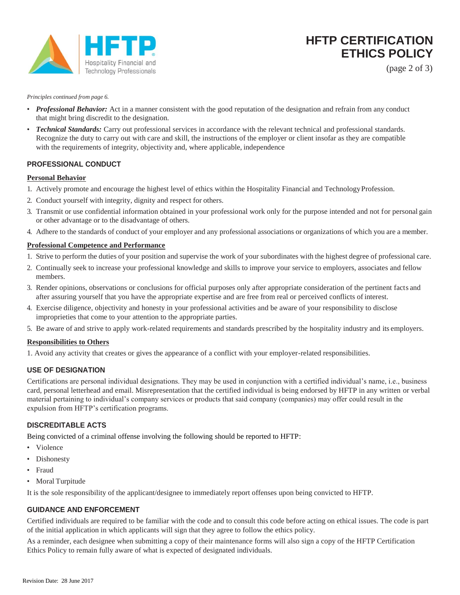

# **HFTP CERTIFICATION ETHICS POLICY**

(page 2 of 3)

*Principles continued from page 6.*

- *Professional Behavior:* Act in a manner consistent with the good reputation of the designation and refrain from any conduct that might bring discredit to the designation.
- *Technical Standards:* Carry out professional services in accordance with the relevant technical and professional standards. Recognize the duty to carry out with care and skill, the instructions of the employer or client insofar as they are compatible with the requirements of integrity, objectivity and, where applicable, independence

## **PROFESSIONAL CONDUCT**

#### **Personal Behavior**

- 1. Actively promote and encourage the highest level of ethics within the Hospitality Financial and TechnologyProfession.
- 2. Conduct yourself with integrity, dignity and respect for others.
- 3. Transmit or use confidential information obtained in your professional work only for the purpose intended and not for personal gain or other advantage or to the disadvantage of others.
- 4. Adhere to the standards of conduct of your employer and any professional associations or organizations of which you are a member.

#### **Professional Competence and Performance**

- 1. Strive to perform the duties of your position and supervise the work of your subordinates with the highest degree of professional care.
- 2. Continually seek to increase your professional knowledge and skills to improve your service to employers, associates and fellow members.
- 3. Render opinions, observations or conclusions for official purposes only after appropriate consideration of the pertinent facts and after assuring yourself that you have the appropriate expertise and are free from real or perceived conflicts ofinterest.
- 4. Exercise diligence, objectivity and honesty in your professional activities and be aware of your responsibility to disclose improprieties that come to your attention to the appropriate parties.
- 5. Be aware of and strive to apply work-related requirements and standards prescribed by the hospitality industry and its employers.

## **Responsibilities to Others**

1. Avoid any activity that creates or gives the appearance of a conflict with your employer-related responsibilities.

## **USE OF DESIGNATION**

Certifications are personal individual designations. They may be used in conjunction with a certified individual's name, i.e., business card, personal letterhead and email. Misrepresentation that the certified individual is being endorsed by HFTP in any written or verbal material pertaining to individual's company services or products that said company (companies) may offer could result in the expulsion from HFTP's certification programs.

## **DISCREDITABLE ACTS**

Being convicted of a criminal offense involving the following should be reported to HFTP:

- Violence
- Dishonesty
- Fraud
- Moral Turpitude

It is the sole responsibility of the applicant/designee to immediately report offenses upon being convicted to HFTP.

## **GUIDANCE AND ENFORCEMENT**

Certified individuals are required to be familiar with the code and to consult this code before acting on ethical issues. The code is part of the initial application in which applicants will sign that they agree to follow the ethics policy.

As a reminder, each designee when submitting a copy of their maintenance forms will also sign a copy of the HFTP Certification Ethics Policy to remain fully aware of what is expected of designated individuals.